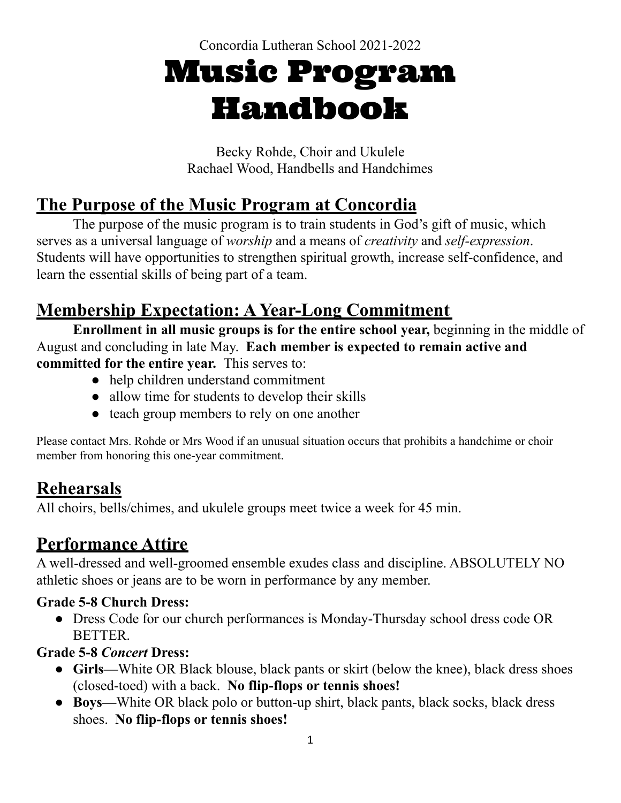Concordia Lutheran School 2021-2022

# Music Program Handbook

Becky Rohde, Choir and Ukulele Rachael Wood, Handbells and Handchimes

## **The Purpose of the Music Program at Concordia**

The purpose of the music program is to train students in God's gift of music, which serves as a universal language of *worship* and a means of *creativity* and *self-expression*. Students will have opportunities to strengthen spiritual growth, increase self-confidence, and learn the essential skills of being part of a team.

## **Membership Expectation: A Year-Long Commitment**

**Enrollment in all music groups is for the entire school year,** beginning in the middle of August and concluding in late May. **Each member is expected to remain active and committed for the entire year.** This serves to:

- help children understand commitment
- allow time for students to develop their skills
- teach group members to rely on one another

Please contact Mrs. Rohde or Mrs Wood if an unusual situation occurs that prohibits a handchime or choir member from honoring this one-year commitment.

## **Rehearsals**

All choirs, bells/chimes, and ukulele groups meet twice a week for 45 min.

## **Performance Attire**

A well-dressed and well-groomed ensemble exudes class and discipline. ABSOLUTELY NO athletic shoes or jeans are to be worn in performance by any member.

#### **Grade 5-8 Church Dress:**

• Dress Code for our church performances is Monday-Thursday school dress code OR BETTER.

#### **Grade 5-8** *Concert* **Dress:**

- **● Girls—**White OR Black blouse, black pants or skirt (below the knee), black dress shoes (closed-toed) with a back. **No flip-flops or tennis shoes!**
- **● Boys—**White OR black polo or button-up shirt, black pants, black socks, black dress shoes. **No flip-flops or tennis shoes!**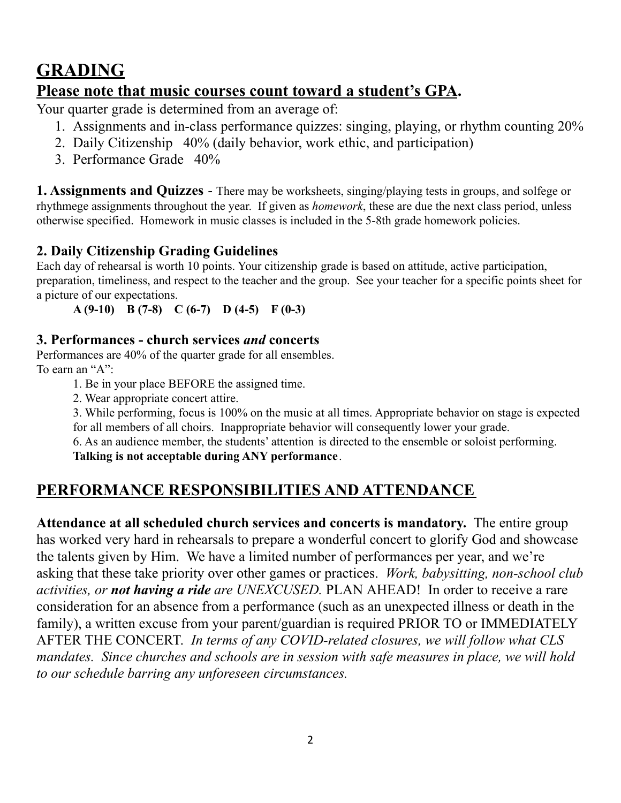## **GRADING**

#### **Please note that music courses count toward a student's GPA.**

Your quarter grade is determined from an average of:

- 1. Assignments and in-class performance quizzes: singing, playing, or rhythm counting 20%
- 2. Daily Citizenship 40% (daily behavior, work ethic, and participation)
- 3. Performance Grade 40%

**1. Assignments and Quizzes** - There may be worksheets, singing/playing tests in groups, and solfege or rhythmege assignments throughout the year. If given as *homework*, these are due the next class period, unless otherwise specified. Homework in music classes is included in the 5-8th grade homework policies.

#### **2. Daily Citizenship Grading Guidelines**

Each day of rehearsal is worth 10 points. Your citizenship grade is based on attitude, active participation, preparation, timeliness, and respect to the teacher and the group. See your teacher for a specific points sheet for a picture of our expectations.

**A (9-10) B (7-8) C (6-7) D (4-5) F (0-3)**

#### **3. Performances - church services** *and* **concerts**

Performances are 40% of the quarter grade for all ensembles. To earn an "A":

1. Be in your place BEFORE the assigned time.

2. Wear appropriate concert attire.

3. While performing, focus is 100% on the music at all times. Appropriate behavior on stage is expected for all members of all choirs. Inappropriate behavior will consequently lower your grade.

6. As an audience member, the students' attention is directed to the ensemble or soloist performing. **Talking is not acceptable during ANY performance**.

### **PERFORMANCE RESPONSIBILITIES AND ATTENDANCE**

**Attendance at all scheduled church services and concerts is mandatory.** The entire group has worked very hard in rehearsals to prepare a wonderful concert to glorify God and showcase the talents given by Him. We have a limited number of performances per year, and we're asking that these take priority over other games or practices. *Work, babysitting, non-school club activities, or not having a ride are UNEXCUSED.* PLAN AHEAD! In order to receive a rare consideration for an absence from a performance (such as an unexpected illness or death in the family), a written excuse from your parent/guardian is required PRIOR TO or IMMEDIATELY AFTER THE CONCERT. *In terms of any COVID-related closures, we will follow what CLS mandates. Since churches and schools are in session with safe measures in place, we will hold to our schedule barring any unforeseen circumstances.*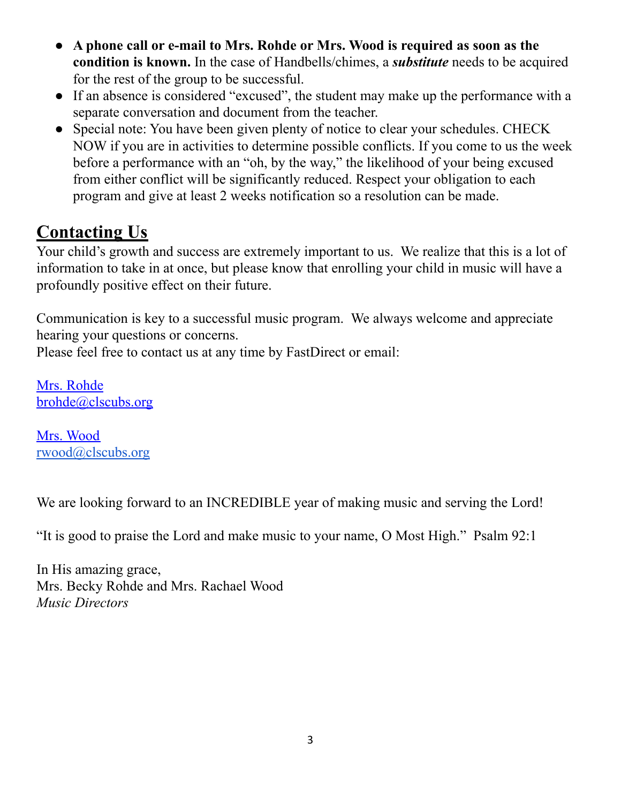- **A phone call or e-mail to Mrs. Rohde or Mrs. Wood is required as soon as the condition is known.** In the case of Handbells/chimes, a *substitute* needs to be acquired for the rest of the group to be successful.
- If an absence is considered "excused", the student may make up the performance with a separate conversation and document from the teacher.
- Special note: You have been given plenty of notice to clear your schedules. CHECK NOW if you are in activities to determine possible conflicts. If you come to us the week before a performance with an "oh, by the way," the likelihood of your being excused from either conflict will be significantly reduced. Respect your obligation to each program and give at least 2 weeks notification so a resolution can be made.

## **Contacting Us**

Your child's growth and success are extremely important to us. We realize that this is a lot of information to take in at once, but please know that enrolling your child in music will have a profoundly positive effect on their future.

Communication is key to a successful music program. We always welcome and appreciate hearing your questions or concerns.

Please feel free to contact us at any time by FastDirect or email:

Mrs. Rohde [brohde@clscubs.org](mailto:brohde@clsfw.org)

Mrs. Wood [rwood@clscubs.org](mailto:rwood@clscubs.org)

We are looking forward to an INCREDIBLE year of making music and serving the Lord!

"It is good to praise the Lord and make music to your name, O Most High." Psalm 92:1

In His amazing grace, Mrs. Becky Rohde and Mrs. Rachael Wood *Music Directors*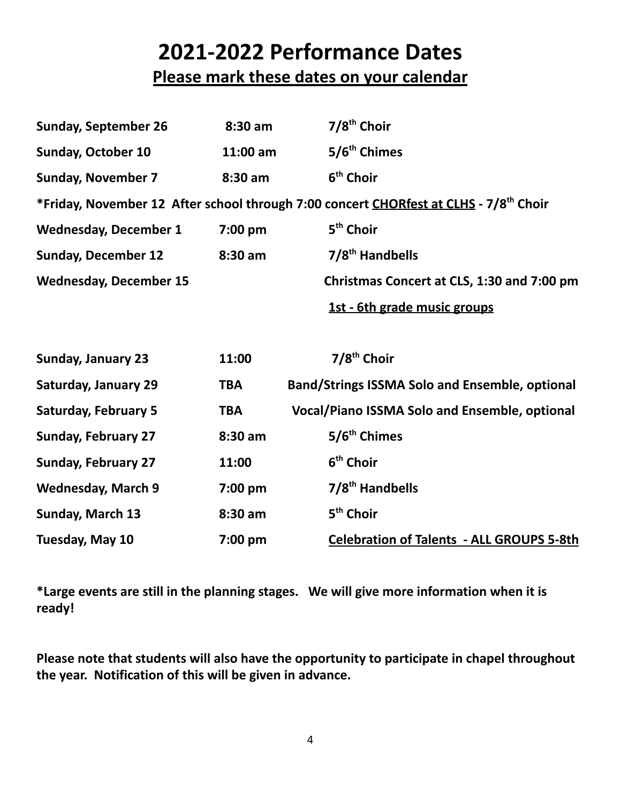## **2021-2022 Performance Dates**

### **Please mark these dates on your calendar**

| <b>Sunday, September 26</b>                                                                       | $8:30$ am  | $7/8th$ Choir                                         |  |  |  |  |
|---------------------------------------------------------------------------------------------------|------------|-------------------------------------------------------|--|--|--|--|
| <b>Sunday, October 10</b>                                                                         | 11:00 am   | 5/6 <sup>th</sup> Chimes                              |  |  |  |  |
| <b>Sunday, November 7</b>                                                                         | 8:30 am    | 6 <sup>th</sup> Choir                                 |  |  |  |  |
| *Friday, November 12 After school through 7:00 concert CHORfest at CLHS - 7/8 <sup>th</sup> Choir |            |                                                       |  |  |  |  |
| <b>Wednesday, December 1</b>                                                                      | 7:00 pm    | 5 <sup>th</sup> Choir                                 |  |  |  |  |
| <b>Sunday, December 12</b>                                                                        | 8:30 am    | 7/8 <sup>th</sup> Handbells                           |  |  |  |  |
| <b>Wednesday, December 15</b>                                                                     |            | Christmas Concert at CLS, 1:30 and 7:00 pm            |  |  |  |  |
|                                                                                                   |            | 1st - 6th grade music groups                          |  |  |  |  |
|                                                                                                   |            |                                                       |  |  |  |  |
| <b>Sunday, January 23</b>                                                                         | 11:00      | 7/8 <sup>th</sup> Choir                               |  |  |  |  |
| <b>Saturday, January 29</b>                                                                       | <b>TBA</b> | <b>Band/Strings ISSMA Solo and Ensemble, optional</b> |  |  |  |  |
| <b>Saturday, February 5</b>                                                                       | <b>TBA</b> | <b>Vocal/Piano ISSMA Solo and Ensemble, optional</b>  |  |  |  |  |
| <b>Sunday, February 27</b>                                                                        | 8:30 am    | 5/6 <sup>th</sup> Chimes                              |  |  |  |  |
| <b>Sunday, February 27</b>                                                                        | 11:00      | 6 <sup>th</sup> Choir                                 |  |  |  |  |
| <b>Wednesday, March 9</b>                                                                         | 7:00 pm    | 7/8 <sup>th</sup> Handbells                           |  |  |  |  |
| Sunday, March 13                                                                                  | 8:30 am    | 5 <sup>th</sup> Choir                                 |  |  |  |  |
| Tuesday, May 10                                                                                   | 7:00 pm    | <b>Celebration of Talents - ALL GROUPS 5-8th</b>      |  |  |  |  |

**\*Large events are still in the planning stages. We will give more information when it is ready!**

**Please note that students will also have the opportunity to participate in chapel throughout the year. Notification of this will be given in advance.**